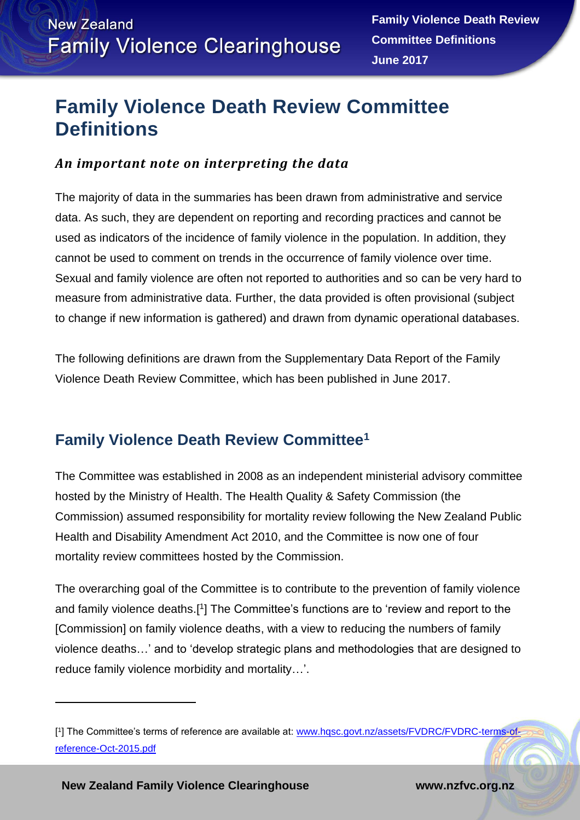## **Family Violence Death Review Committee Definitions**

## *An important note on interpreting the data*

The majority of data in the summaries has been drawn from administrative and service data. As such, they are dependent on reporting and recording practices and cannot be used as indicators of the incidence of family violence in the population. In addition, they cannot be used to comment on trends in the occurrence of family violence over time. Sexual and family violence are often not reported to authorities and so can be very hard to measure from administrative data. Further, the data provided is often provisional (subject to change if new information is gathered) and drawn from dynamic operational databases.

The following definitions are drawn from the Supplementary Data Report of the Family Violence Death Review Committee, which has been published in June 2017.

## <span id="page-0-0"></span>**Family Violence Death Review Committee<sup>1</sup>**

The Committee was established in 2008 as an independent ministerial advisory committee hosted by the Ministry of Health. The Health Quality & Safety Commission (the Commission) assumed responsibility for mortality review following the New Zealand Public Health and Disability Amendment Act 2010, and the Committee is now one of four mortality review committees hosted by the Commission.

The overarching goal of the Committee is to contribute to the prevention of family violence and family violence deaths.<sup>[1</sup>] The Committee's functions are to 'review and report to the [Commission] on family violence deaths, with a view to reducing the numbers of family violence deaths…' and to 'develop strategic plans and methodologies that are designed to reduce family violence morbidity and mortality…'.

**New Zealand Family Violence Clearinghouse www.nzfvc.org.nz**

 $\overline{a}$ 

<sup>[1]</sup> The Committee's terms of reference are available at: [www.hqsc.govt.nz/assets/FVDRC/FVDRC-terms-of](http://www.hqsc.govt.nz/assets/FVDRC/FVDRC-terms-of-reference-Oct-2015.pdf)[reference-Oct-2015.pdf](http://www.hqsc.govt.nz/assets/FVDRC/FVDRC-terms-of-reference-Oct-2015.pdf)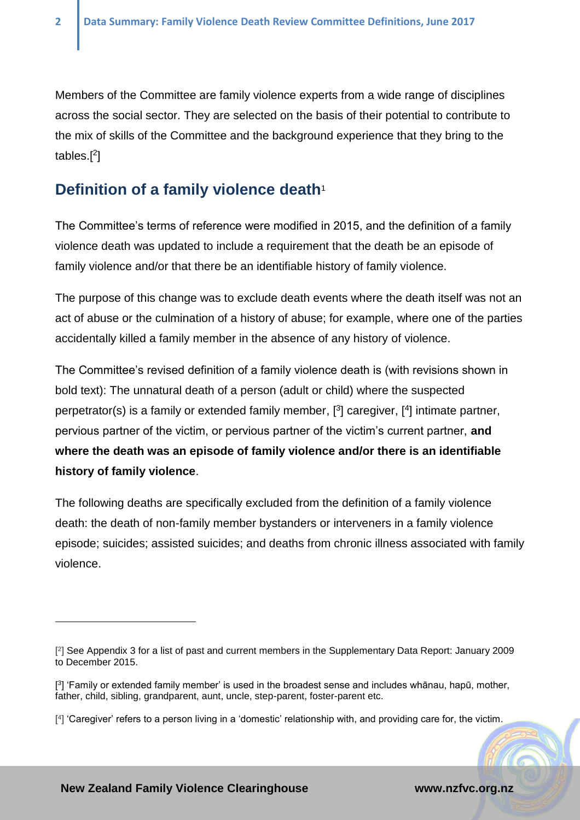$\overline{a}$ 

Members of the Committee are family violence experts from a wide range of disciplines across the social sector. They are selected on the basis of their potential to contribute to the mix of skills of the Committee and the background experience that they bring to the tables.[ 2 ]

## **Definition of a family violence deat[h](#page-0-0)**<sup>1</sup>

The Committee's terms of reference were modified in 2015, and the definition of a family violence death was updated to include a requirement that the death be an episode of family violence and/or that there be an identifiable history of family violence.

The purpose of this change was to exclude death events where the death itself was not an act of abuse or the culmination of a history of abuse; for example, where one of the parties accidentally killed a family member in the absence of any history of violence.

The Committee's revised definition of a family violence death is (with revisions shown in bold text): The unnatural death of a person (adult or child) where the suspected perpetrator(s) is a family or extended family member, [<sup>3</sup>] caregiver, [<sup>4</sup>] intimate partner, pervious partner of the victim, or pervious partner of the victim's current partner, **and where the death was an episode of family violence and/or there is an identifiable history of family violence**.

The following deaths are specifically excluded from the definition of a family violence death: the death of non-family member bystanders or interveners in a family violence episode; suicides; assisted suicides; and deaths from chronic illness associated with family violence.

<sup>[</sup> 2 ] See Appendix 3 for a list of past and current members in the Supplementary Data Report: January 2009 to December 2015.

<sup>[</sup> 3 ] 'Family or extended family member' is used in the broadest sense and includes whānau, hapū, mother, father, child, sibling, grandparent, aunt, uncle, step-parent, foster-parent etc.

<sup>[</sup> 4 ] 'Caregiver' refers to a person living in a 'domestic' relationship with, and providing care for, the victim.